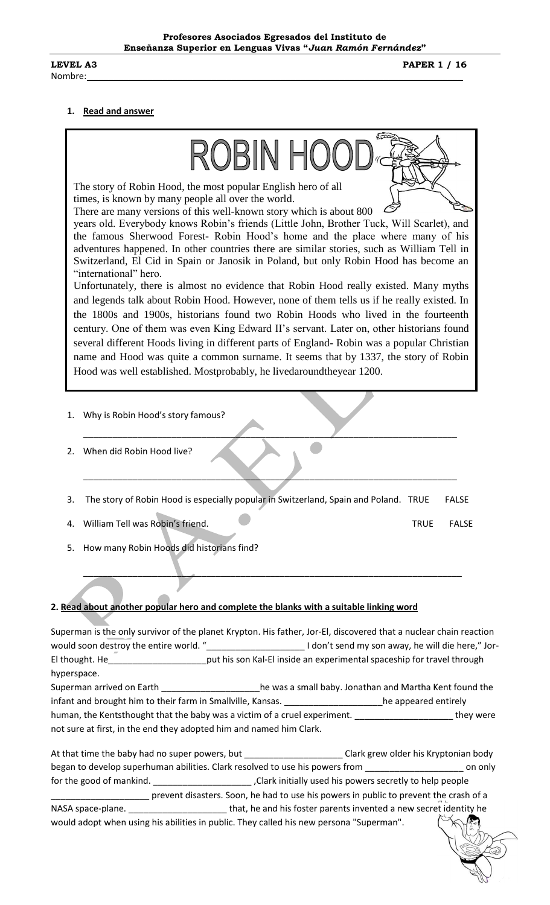**LEVEL A3 PAPER 1 / 16** 

## **1. Read and answer**

| ROBIN HOC                                                                                                                                                                                                                                |  |
|------------------------------------------------------------------------------------------------------------------------------------------------------------------------------------------------------------------------------------------|--|
| The story of Robin Hood, the most popular English hero of all<br>times, is known by many people all over the world.                                                                                                                      |  |
| There are many versions of this well-known story which is about 800                                                                                                                                                                      |  |
| years old. Everybody knows Robin's friends (Little John, Brother Tuck, Will Scarlet), and<br>the famous Sherwood Forest-Robin Hood's home and the place where many of his                                                                |  |
| adventures happened. In other countries there are similar stories, such as William Tell in                                                                                                                                               |  |
| Switzerland, El Cid in Spain or Janosik in Poland, but only Robin Hood has become an                                                                                                                                                     |  |
| "international" hero.                                                                                                                                                                                                                    |  |
| Unfortunately, there is almost no evidence that Robin Hood really existed. Many myths                                                                                                                                                    |  |
| and legends talk about Robin Hood. However, none of them tells us if he really existed. In                                                                                                                                               |  |
| the 1800s and 1900s, historians found two Robin Hoods who lived in the fourteenth                                                                                                                                                        |  |
| century. One of them was even King Edward II's servant. Later on, other historians found<br>several different Hoods living in different parts of England-Robin was a popular Christian                                                   |  |
| name and Hood was quite a common surname. It seems that by 1337, the story of Robin                                                                                                                                                      |  |
| Hood was well established. Mostprobably, he livedaroundtheyear 1200.                                                                                                                                                                     |  |
|                                                                                                                                                                                                                                          |  |
| Why is Robin Hood's story famous?<br>1.                                                                                                                                                                                                  |  |
| When did Robin Hood live?<br>2.                                                                                                                                                                                                          |  |
| The story of Robin Hood is especially popular in Switzerland, Spain and Poland. TRUE<br><b>FALSE</b><br>3.                                                                                                                               |  |
| 4. William Tell was Robin's friend.<br><b>TRUE</b><br><b>FALSE</b>                                                                                                                                                                       |  |
| 5. How many Robin Hoods did historians find?                                                                                                                                                                                             |  |
|                                                                                                                                                                                                                                          |  |
|                                                                                                                                                                                                                                          |  |
|                                                                                                                                                                                                                                          |  |
| 2. Read about another popular hero and complete the blanks with a suitable linking word                                                                                                                                                  |  |
|                                                                                                                                                                                                                                          |  |
| Superman is the only survivor of the planet Krypton. His father, Jor-El, discovered that a nuclear chain reaction                                                                                                                        |  |
| would soon destroy the entire world. "________________________________I don't send my son away, he will die here," Jor-<br>El thought. He_________________________put his son Kal-El inside an experimental spaceship for travel through |  |
| hyperspace.                                                                                                                                                                                                                              |  |
| Superman arrived on Earth _____________________he was a small baby. Jonathan and Martha Kent found the                                                                                                                                   |  |
| infant and brought him to their farm in Smallville, Kansas. ____________________he appeared entirely                                                                                                                                     |  |
| human, the Kentsthought that the baby was a victim of a cruel experiment. _______________________they were                                                                                                                               |  |
| not sure at first, in the end they adopted him and named him Clark.                                                                                                                                                                      |  |
| At that time the haby had no super powers but<br>Clark grew older his Kryntonian hody                                                                                                                                                    |  |

At that time the baby had no super powers, but \_\_\_\_\_\_\_\_\_\_\_\_\_\_\_\_\_\_\_\_\_\_\_\_Clark grew older his Kryptonian body began to develop superhuman abilities. Clark resolved to use his powers from \_\_\_\_\_\_\_\_\_\_\_\_\_\_\_\_\_\_\_\_\_\_\_\_\_\_\_\_ on only for the good of mankind. \_\_\_\_\_\_\_\_\_\_\_\_\_\_\_\_\_\_\_\_ ,Clark initially used his powers secretly to help people correspondence in public to prevent the crash of a prevent the crash of a prevent the crash of a NASA space-plane. \_\_\_\_\_\_\_\_\_\_\_\_\_\_\_\_\_\_\_\_\_\_\_\_\_\_\_\_\_\_\_\_\_that, he and his foster parents invented a new secret identity he would adopt when using his abilities in public. They called his new persona "Superman".

 $\leq$